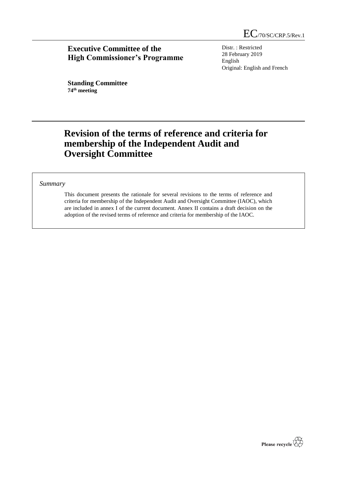EC/70/SC/CRP.5/Rev.1

## **Executive Committee of the High Commissioner's Programme**

Distr. : Restricted 28 February 2019 English Original: English and French

**Standing Committee 74th meeting**

# **Revision of the terms of reference and criteria for membership of the Independent Audit and Oversight Committee**

## *Summary*

This document presents the rationale for several revisions to the terms of reference and criteria for membership of the Independent Audit and Oversight Committee (IAOC), which are included in annex I of the current document. Annex II contains a draft decision on the adoption of the revised terms of reference and criteria for membership of the IAOC.

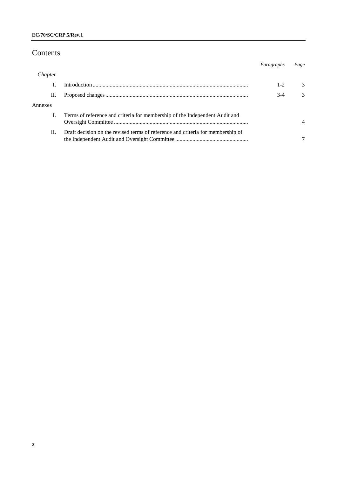## Contents

|         |                                                                                 | Paragraphs | Page          |
|---------|---------------------------------------------------------------------------------|------------|---------------|
| Chapter |                                                                                 |            |               |
|         |                                                                                 | $1 - 2$    | $\mathcal{R}$ |
| П.      |                                                                                 | $3-4$      | $\mathcal{R}$ |
| Annexes |                                                                                 |            |               |
|         | Terms of reference and criteria for membership of the Independent Audit and     |            |               |
| H.      | Draft decision on the revised terms of reference and criteria for membership of |            |               |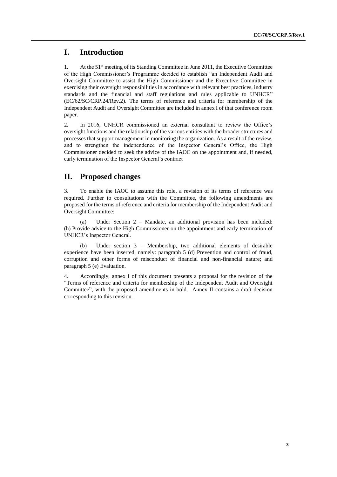## **I. Introduction**

1. At the  $51<sup>st</sup>$  meeting of its Standing Committee in June 2011, the Executive Committee of the High Commissioner's Programme decided to establish "an Independent Audit and Oversight Committee to assist the High Commissioner and the Executive Committee in exercising their oversight responsibilities in accordance with relevant best practices, industry standards and the financial and staff regulations and rules applicable to UNHCR" (EC/62/SC/CRP.24/Rev.2). The terms of reference and criteria for membership of the Independent Audit and Oversight Committee are included in annex I of that conference room paper.

2. In 2016, UNHCR commissioned an external consultant to review the Office's oversight functions and the relationship of the various entities with the broader structures and processes that support management in monitoring the organization. As a result of the review, and to strengthen the independence of the Inspector General's Office, the High Commissioner decided to seek the advice of the IAOC on the appointment and, if needed, early termination of the Inspector General's contract

## **II. Proposed changes**

3. To enable the IAOC to assume this role, a revision of its terms of reference was required. Further to consultations with the Committee, the following amendments are proposed for the terms of reference and criteria for membership of the Independent Audit and Oversight Committee:

(a) Under Section 2 – Mandate, an additional provision has been included: (h) Provide advice to the High Commissioner on the appointment and early termination of UNHCR's Inspector General.

(b) Under section 3 – Membership, two additional elements of desirable experience have been inserted, namely: paragraph 5 (d) Prevention and control of fraud, corruption and other forms of misconduct of financial and non-financial nature; and paragraph 5 (e) Evaluation.

4. Accordingly, annex I of this document presents a proposal for the revision of the "Terms of reference and criteria for membership of the Independent Audit and Oversight Committee", with the proposed amendments in bold. Annex II contains a draft decision corresponding to this revision.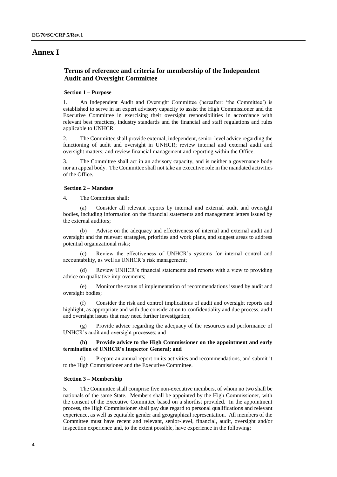## **Annex I**

## **Terms of reference and criteria for membership of the Independent Audit and Oversight Committee**

### **Section 1 – Purpose**

1. An Independent Audit and Oversight Committee (hereafter: 'the Committee') is established to serve in an expert advisory capacity to assist the High Commissioner and the Executive Committee in exercising their oversight responsibilities in accordance with relevant best practices, industry standards and the financial and staff regulations and rules applicable to UNHCR.

2. The Committee shall provide external, independent, senior-level advice regarding the functioning of audit and oversight in UNHCR; review internal and external audit and oversight matters; and review financial management and reporting within the Office.

3. The Committee shall act in an advisory capacity, and is neither a governance body nor an appeal body. The Committee shall not take an executive role in the mandated activities of the Office.

### **Section 2 – Mandate**

4. The Committee shall:

Consider all relevant reports by internal and external audit and oversight bodies, including information on the financial statements and management letters issued by the external auditors;

(b) Advise on the adequacy and effectiveness of internal and external audit and oversight and the relevant strategies, priorities and work plans, and suggest areas to address potential organizational risks;

Review the effectiveness of UNHCR's systems for internal control and accountability, as well as UNHCR's risk management;

Review UNHCR's financial statements and reports with a view to providing advice on qualitative improvements;

(e) Monitor the status of implementation of recommendations issued by audit and oversight bodies;

Consider the risk and control implications of audit and oversight reports and highlight, as appropriate and with due consideration to confidentiality and due process, audit and oversight issues that may need further investigation;

(g) Provide advice regarding the adequacy of the resources and performance of UNHCR's audit and oversight processes; and

### **(h) Provide advice to the High Commissioner on the appointment and early termination of UNHCR's Inspector General; and**

(i) Prepare an annual report on its activities and recommendations, and submit it to the High Commissioner and the Executive Committee.

### **Section 3 – Membership**

5. The Committee shall comprise five non-executive members, of whom no two shall be nationals of the same State. Members shall be appointed by the High Commissioner, with the consent of the Executive Committee based on a shortlist provided. In the appointment process, the High Commissioner shall pay due regard to personal qualifications and relevant experience, as well as equitable gender and geographical representation. All members of the Committee must have recent and relevant, senior-level, financial, audit, oversight and/or inspection experience and, to the extent possible, have experience in the following: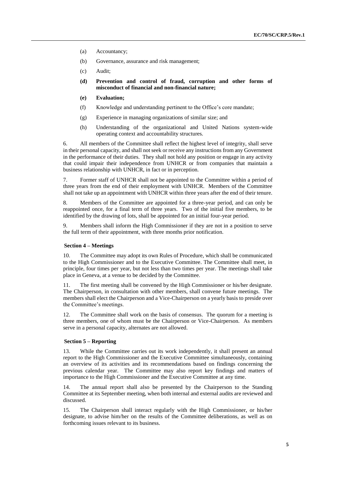- (a) Accountancy;
- (b) Governance, assurance and risk management;
- (c) Audit;
- **(d) Prevention and control of fraud, corruption and other forms of misconduct of financial and non-financial nature;**
- **(e) Evaluation;**
- (f) Knowledge and understanding pertinent to the Office's core mandate;
- (g) Experience in managing organizations of similar size; and
- (h) Understanding of the organizational and United Nations system-wide operating context and accountability structures.

6. All members of the Committee shall reflect the highest level of integrity, shall serve in their personal capacity, and shall not seek or receive any instructions from any Government in the performance of their duties. They shall not hold any position or engage in any activity that could impair their independence from UNHCR or from companies that maintain a business relationship with UNHCR, in fact or in perception.

7. Former staff of UNHCR shall not be appointed to the Committee within a period of three years from the end of their employment with UNHCR. Members of the Committee shall not take up an appointment with UNHCR within three years after the end of their tenure.

8. Members of the Committee are appointed for a three-year period, and can only be reappointed once, for a final term of three years. Two of the initial five members, to be identified by the drawing of lots, shall be appointed for an initial four-year period.

9. Members shall inform the High Commissioner if they are not in a position to serve the full term of their appointment, with three months prior notification.

#### **Section 4 – Meetings**

10. The Committee may adopt its own Rules of Procedure, which shall be communicated to the High Commissioner and to the Executive Committee. The Committee shall meet, in principle, four times per year, but not less than two times per year. The meetings shall take place in Geneva, at a venue to be decided by the Committee.

11. The first meeting shall be convened by the High Commissioner or his/her designate. The Chairperson, in consultation with other members, shall convene future meetings. The members shall elect the Chairperson and a Vice-Chairperson on a yearly basis to preside over the Committee's meetings.

12. The Committee shall work on the basis of consensus. The quorum for a meeting is three members, one of whom must be the Chairperson or Vice-Chairperson. As members serve in a personal capacity, alternates are not allowed.

## **Section 5 – Reporting**

13. While the Committee carries out its work independently, it shall present an annual report to the High Commissioner and the Executive Committee simultaneously, containing an overview of its activities and its recommendations based on findings concerning the previous calendar year. The Committee may also report key findings and matters of importance to the High Commissioner and the Executive Committee at any time.

14. The annual report shall also be presented by the Chairperson to the Standing Committee at its September meeting, when both internal and external audits are reviewed and discussed.

15. The Chairperson shall interact regularly with the High Commissioner, or his/her designate, to advise him/her on the results of the Committee deliberations, as well as on forthcoming issues relevant to its business.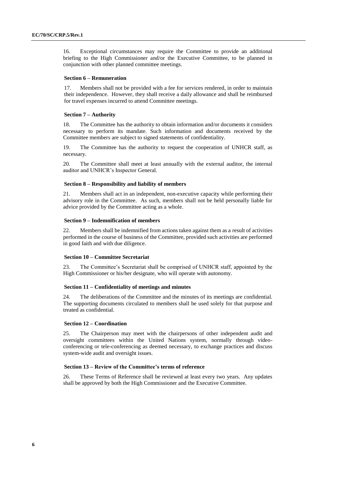16. Exceptional circumstances may require the Committee to provide an additional briefing to the High Commissioner and/or the Executive Committee, to be planned in conjunction with other planned committee meetings.

#### **Section 6 – Remuneration**

17. Members shall not be provided with a fee for services rendered, in order to maintain their independence. However, they shall receive a daily allowance and shall be reimbursed for travel expenses incurred to attend Committee meetings.

### **Section 7 – Authority**

18. The Committee has the authority to obtain information and/or documents it considers necessary to perform its mandate. Such information and documents received by the Committee members are subject to signed statements of confidentiality.

19. The Committee has the authority to request the cooperation of UNHCR staff, as necessary.

20. The Committee shall meet at least annually with the external auditor, the internal auditor and UNHCR's Inspector General.

#### **Section 8 – Responsibility and liability of members**

21. Members shall act in an independent, non-executive capacity while performing their advisory role in the Committee. As such, members shall not be held personally liable for advice provided by the Committee acting as a whole.

### **Section 9 – Indemnification of members**

22. Members shall be indemnified from actions taken against them as a result of activities performed in the course of business of the Committee, provided such activities are performed in good faith and with due diligence.

#### **Section 10 – Committee Secretariat**

23. The Committee's Secretariat shall be comprised of UNHCR staff, appointed by the High Commissioner or his/her designate, who will operate with autonomy.

#### **Section 11 – Confidentiality of meetings and minutes**

24. The deliberations of the Committee and the minutes of its meetings are confidential. The supporting documents circulated to members shall be used solely for that purpose and treated as confidential.

## **Section 12 – Coordination**

25. The Chairperson may meet with the chairpersons of other independent audit and oversight committees within the United Nations system, normally through videoconferencing or tele-conferencing as deemed necessary, to exchange practices and discuss system-wide audit and oversight issues.

#### **Section 13 – Review of the Committee's terms of reference**

26. These Terms of Reference shall be reviewed at least every two years. Any updates shall be approved by both the High Commissioner and the Executive Committee.